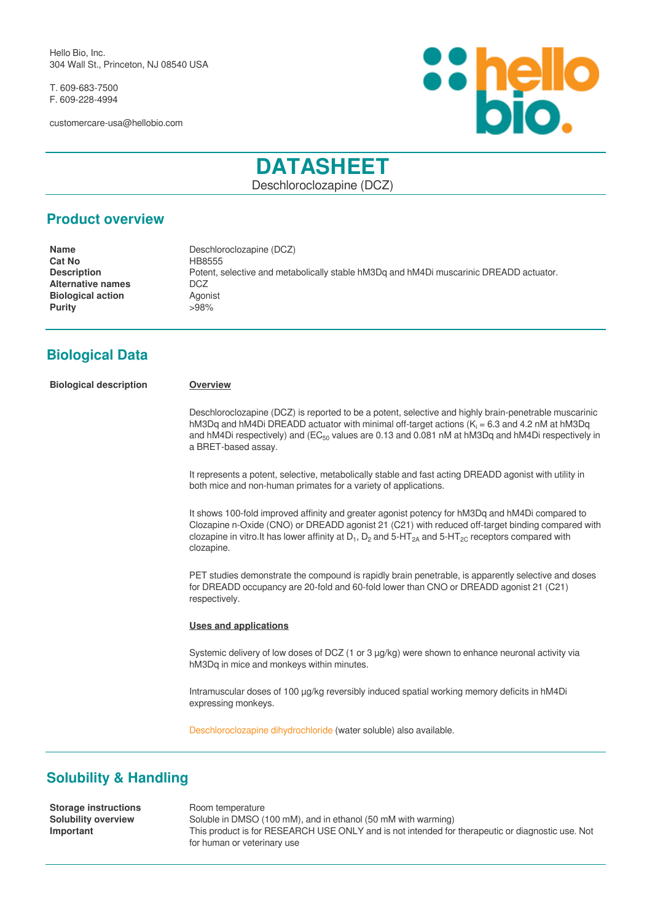Hello Bio, Inc. 304 Wall St., Princeton, NJ 08540 USA

T. 609-683-7500 F. 609-228-4994

customercare-usa@hellobio.com



# **DATASHEET**

Deschloroclozapine (DCZ)

## **Product overview**

| <b>Name</b>              | Deschloroclozapine (DCZ)                                                               |
|--------------------------|----------------------------------------------------------------------------------------|
| <b>Cat No</b>            | HB8555                                                                                 |
| <b>Description</b>       | Potent, selective and metabolically stable hM3Dq and hM4Di muscarinic DREADD actuator. |
| <b>Alternative names</b> | DCZ                                                                                    |
| <b>Biological action</b> | Agonist                                                                                |
| <b>Purity</b>            | >98%                                                                                   |
|                          |                                                                                        |

# **Biological Data**

**Biological description Overview**

Deschloroclozapine (DCZ) is reported to be a potent, selective and highly brain-penetrable muscarinic hM3Dq and hM4Di DREADD actuator with minimal off-target actions ( $K_i = 6.3$  and 4.2 nM at hM3Dq and hM4Di respectively) and  $(EC_{50}$  values are 0.13 and 0.081 nM at hM3Dq and hM4Di respectively in a BRET-based assay.

It represents a potent, selective, metabolically stable and fast acting DREADD agonist with utility in both mice and non-human primates for a variety of applications.

It shows 100-fold improved affinity and greater agonist potency for hM3Dq and hM4Di compared to Clozapine n-Oxide (CNO) or DREADD agonist 21 (C21) with reduced off-target binding compared with clozapine in vitro.It has lower affinity at D<sub>1</sub>, D<sub>2</sub> and 5-HT<sub>2A</sub> and 5-HT<sub>2C</sub> receptors compared with clozapine.

PET studies demonstrate the compound is rapidly brain penetrable, is apparently selective and doses for DREADD occupancy are 20-fold and 60-fold lower than CNO or DREADD agonist 21 (C21) respectively.

### **Uses and applications**

Systemic delivery of low doses of DCZ (1 or 3 µg/kg) were shown to enhance neuronal activity via hM3Dq in mice and monkeys within minutes.

Intramuscular doses of 100 µg/kg reversibly induced spatial working memory deficits in hM4Di expressing monkeys.

[Deschloroclozapine dihydrochloride](https://hellobio.com/deschloroclozapine-dihydrochloride.html) (water soluble) also available.

# **Solubility & Handling**

**Storage instructions** Room temperature

**Solubility overview** Soluble in DMSO (100 mM), and in ethanol (50 mM with warming) **Important** This product is for RESEARCH USE ONLY and is not intended for therapeutic or diagnostic use. Not for human or veterinary use